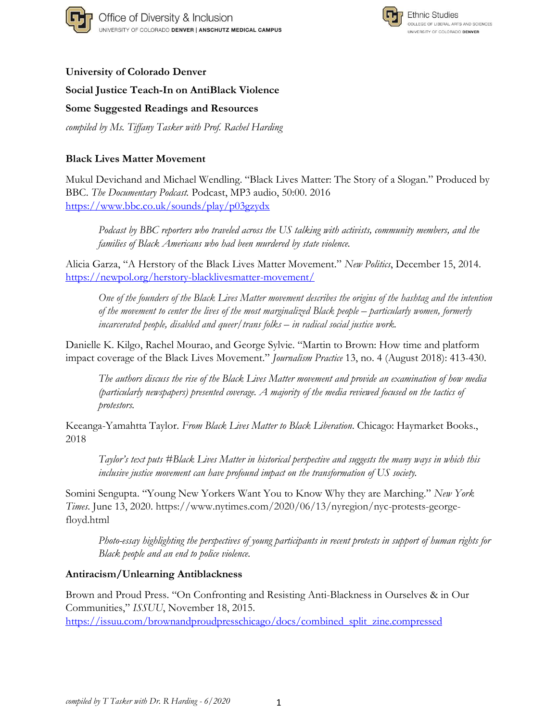



### **University of Colorado Denver**

**Social Justice Teach-In on AntiBlack Violence**

**Some Suggested Readings and Resources**

*compiled by Ms. Tiffany Tasker with Prof. Rachel Harding*

## **Black Lives Matter Movement**

Mukul Devichand and Michael Wendling. "Black Lives Matter: The Story of a Slogan." Produced by BBC. *The Documentary Podcast.* Podcast, MP3 audio, 50:00. 2016 <https://www.bbc.co.uk/sounds/play/p03gzydx>

*Podcast by BBC reporters who traveled across the US talking with activists, community members, and the families of Black Americans who had been murdered by state violence.*

Alicia Garza, "A Herstory of the Black Lives Matter Movement." *New Politics*, December 15, 2014. <https://newpol.org/herstory-blacklivesmatter-movement/>

One of the founders of the Black Lives Matter movement describes the origins of the hashtag and the intention *of the movement to center the lives of the most marginalized Black people – particularly women, formerly incarcerated people, disabled and queer/trans folks – in radical social justice work.* 

Danielle K. Kilgo, Rachel Mourao, and George Sylvie. "Martin to Brown: How time and platform impact coverage of the Black Lives Movement." *Journalism Practice* 13, no. 4 (August 2018): 413-430.

*The authors discuss the rise of the Black Lives Matter movement and provide an examination of how media (particularly newspapers) presented coverage. A majority of the media reviewed focused on the tactics of protestors.*

Keeanga-Yamahtta Taylor. *From Black Lives Matter to Black Liberation*. Chicago: Haymarket Books., 2018

*Taylor's text puts #Black Lives Matter in historical perspective and suggests the many ways in which this inclusive justice movement can have profound impact on the transformation of US society.*

Somini Sengupta. "Young New Yorkers Want You to Know Why they are Marching." *New York Times*. June 13, 2020. [https://www.nytimes.com/2020/06/13/nyregion/nyc-protests-george](https://www.nytimes.com/2020/06/13/nyregion/nyc-protests-george-floyd.html)[floyd.html](https://www.nytimes.com/2020/06/13/nyregion/nyc-protests-george-floyd.html)

*Photo-essay highlighting the perspectives of young participants in recent protests in support of human rights for Black people and an end to police violence.*

### **Antiracism/Unlearning Antiblackness**

Brown and Proud Press. "On Confronting and Resisting Anti-Blackness in Ourselves & in Our Communities," *ISSUU*, November 18, 2015.

[https://issuu.com/brownandproudpresschicago/docs/combined\\_split\\_zine.compressed](https://issuu.com/brownandproudpresschicago/docs/combined_split_zine.compressed)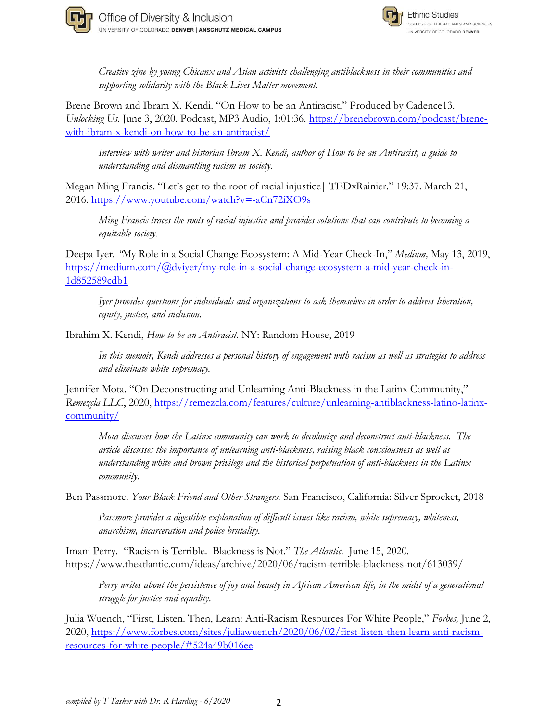



*Creative zine by young Chicanx and Asian activists challenging antiblackness in their communities and supporting solidarity with the Black Lives Matter movement.* 

Brene Brown and Ibram X. Kendi. "On How to be an Antiracist." Produced by Cadence13. *Unlocking Us.* June 3, 2020. Podcast, MP3 Audio, 1:01:36. [https://brenebrown.com/podcast/brene](https://brenebrown.com/podcast/brene-with-ibram-x-kendi-on-how-to-be-an-antiracist/)[with-ibram-x-kendi-on-how-to-be-an-antiracist/](https://brenebrown.com/podcast/brene-with-ibram-x-kendi-on-how-to-be-an-antiracist/)

*Interview with writer and historian Ibram X. Kendi, author of How to be an Antiracist, a guide to understanding and dismantling racism in society.*

Megan Ming Francis. "Let's get to the root of racial injustice| TEDxRainier." 19:37. March 21, 2016. <https://www.youtube.com/watch?v=-aCn72iXO9s>

*Ming Francis traces the roots of racial injustice and provides solutions that can contribute to becoming a equitable society.*

Deepa Iyer*. "*My Role in a Social Change Ecosystem: A Mid-Year Check-In," *Medium,* May 13, 2019, [https://medium.com/@dviyer/my-role-in-a-social-change-ecosystem-a-mid-year-check-in-](https://medium.com/@dviyer/my-role-in-a-social-change-ecosystem-a-mid-year-check-in-1d852589cdb1)[1d852589cdb1](https://medium.com/@dviyer/my-role-in-a-social-change-ecosystem-a-mid-year-check-in-1d852589cdb1)

*Iyer provides questions for individuals and organizations to ask themselves in order to address liberation, equity, justice, and inclusion.* 

Ibrahim X. Kendi, *How to be an Antiracist*. NY: Random House, 2019

*In this memoir, Kendi addresses a personal history of engagement with racism as well as strategies to address and eliminate white supremacy.*

Jennifer Mota. "On Deconstructing and Unlearning Anti-Blackness in the Latinx Community," *Remezcla LLC*, 2020, [https://remezcla.com/features/culture/unlearning-antiblackness-latino-latinx](https://remezcla.com/features/culture/unlearning-antiblackness-latino-latinx-community/)[community/](https://remezcla.com/features/culture/unlearning-antiblackness-latino-latinx-community/)

*Mota discusses how the Latinx community can work to decolonize and deconstruct anti-blackness. The article discusses the importance of unlearning anti-blackness, raising black consciousness as well as understanding white and brown privilege and the historical perpetuation of anti-blackness in the Latinx community.*

Ben Passmore. *Your Black Friend and Other Strangers.* San Francisco, California: Silver Sprocket, 2018

*Passmore provides a digestible explanation of difficult issues like racism, white supremacy, whiteness, anarchism, incarceration and police brutality.*

Imani Perry. "Racism is Terrible. Blackness is Not." *The Atlantic*. June 15, 2020. <https://www.theatlantic.com/ideas/archive/2020/06/racism-terrible-blackness-not/613039/>

*Perry writes about the persistence of joy and beauty in African American life, in the midst of a generational struggle for justice and equality*.

Julia Wuench, "First, Listen. Then, Learn: Anti-Racism Resources For White People," *Forbes,* June 2, 2020, [https://www.forbes.com/sites/juliawuench/2020/06/02/first-listen-then-learn-anti-racism](https://www.forbes.com/sites/juliawuench/2020/06/02/first-listen-then-learn-anti-racism-resources-for-white-people/#524a49b016ee)[resources-for-white-people/#524a49b016ee](https://www.forbes.com/sites/juliawuench/2020/06/02/first-listen-then-learn-anti-racism-resources-for-white-people/#524a49b016ee)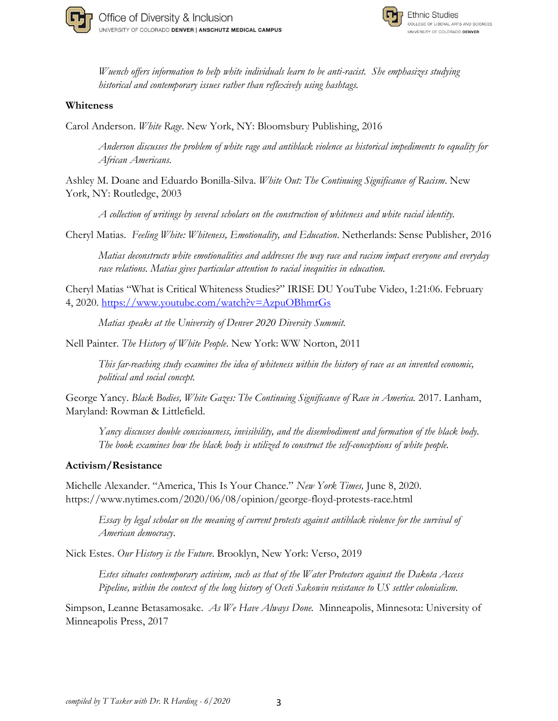



*Wuench offers information to help white individuals learn to be anti-racist. She emphasizes studying historical and contemporary issues rather than reflexively using hashtags.*

#### **Whiteness**

Carol Anderson. *White Rage*. New York, NY: Bloomsbury Publishing, 2016

*Anderson discusses the problem of white rage and antiblack violence as historical impediments to equality for African Americans.*

Ashley M. Doane and Eduardo Bonilla-Silva. *White Out: The Continuing Significance of Racism*. New York, NY: Routledge, 2003

*A collection of writings by several scholars on the construction of whiteness and white racial identity.*

Cheryl Matias. *Feeling White: Whiteness, Emotionality, and Education*. Netherlands: Sense Publisher, 2016

*Matias deconstructs white emotionalities and addresses the way race and racism impact everyone and everyday race relations. Matias gives particular attention to racial inequities in education.*

Cheryl Matias "What is Critical Whiteness Studies?" IRISE DU YouTube Video, 1:21:06. February 4, 2020.<https://www.youtube.com/watch?v=AzpuOBhmrGs>

*Matias speaks at the University of Denver 2020 Diversity Summit.*

Nell Painter. *The History of White People*. New York: WW Norton, 2011

*This far-reaching study examines the idea of whiteness within the history of race as an invented economic, political and social concept.*

George Yancy. *Black Bodies, White Gazes: The Continuing Significance of Race in America.* 2017. Lanham, Maryland: Rowman & Littlefield.

*Yancy discusses double consciousness, invisibility, and the disembodiment and formation of the black body. The book examines how the black body is utilized to construct the self-conceptions of white people.*

#### **Activism/Resistance**

Michelle Alexander. "America, This Is Your Chance." *New York Times,* June 8, 2020. https://www.nytimes.com/2020/06/08/opinion/george-floyd-protests-race.html

*Essay by legal scholar on the meaning of current protests against antiblack violence for the survival of American democracy*.

Nick Estes. *Our History is the Future*. Brooklyn, New York: Verso, 2019

*Estes situates contemporary activism, such as that of the Water Protectors against the Dakota Access Pipeline, within the context of the long history of Oceti Sakowin resistance to US settler colonialism.* 

Simpson, Leanne Betasamosake. *As We Have Always Done.* Minneapolis, Minnesota: University of Minneapolis Press, 2017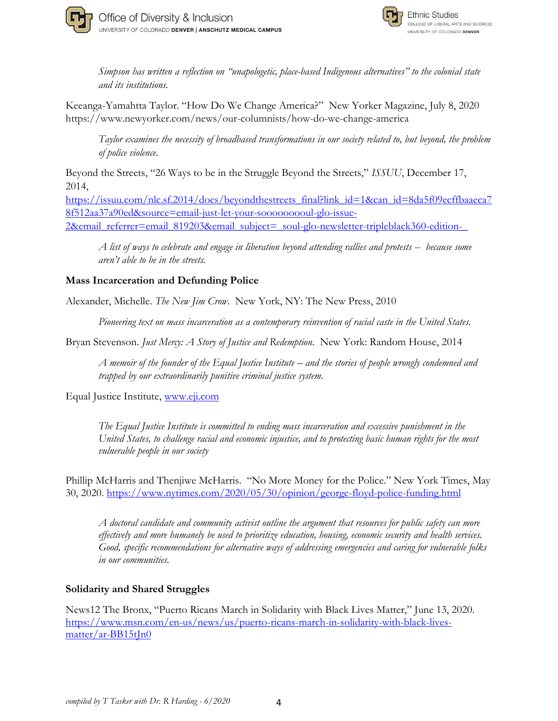



*Simpson has written a reflection on "unapologetic, place-based Indigenous alternatives" to the colonial state and its institutions.*

Keeanga-Yamahtta Taylor. "How Do We Change America?" New Yorker Magazine, July 8, 2020 <https://www.newyorker.com/news/our-columnists/how-do-we-change-america>

*Taylor examines the necessity of broadbased transformations in our society related to, but beyond, the problem of police violence.*

Beyond the Streets, "26 Ways to be in the Struggle Beyond the Streets," *ISSUU*, December 17, 2014,

[https://issuu.com/nlc.sf.2014/docs/beyondthestreets\\_final?link\\_id=1&can\\_id=8da5f09ecffbaaeca7](https://issuu.com/nlc.sf.2014/docs/beyondthestreets_final?link_id=1&can_id=8da5f09ecffbaaeca78f512aa37a90ed&source=email-just-let-your-sooooooooul-glo-issue-2&email_referrer=email_819203&email_subject=_soul-glo-newsletter-tripleblack360-edition-_) [8f512aa37a90ed&source=email-just-let-your-sooooooooul-glo-issue-](https://issuu.com/nlc.sf.2014/docs/beyondthestreets_final?link_id=1&can_id=8da5f09ecffbaaeca78f512aa37a90ed&source=email-just-let-your-sooooooooul-glo-issue-2&email_referrer=email_819203&email_subject=_soul-glo-newsletter-tripleblack360-edition-_)2&email\_referrer=email\_819203&email\_subject=\_soul-glo-newsletter-tripleblack360-edition-

*A list of ways to celebrate and engage in liberation beyond attending rallies and protests -- because some aren't able to be in the streets.*

## **Mass Incarceration and Defunding Police**

Alexander, Michelle. *The New Jim Crow*. New York, NY: The New Press, 2010

*Pioneering text on mass incarceration as a contemporary reinvention of racial caste in the United States.*

Bryan Stevenson. *Just Mercy: A Story of Justice and Redemption*. New York: Random House, 2014

*A memoir of the founder of the Equal Justice Institute – and the stories of people wrongly condemned and trapped by our extraordinarily punitive criminal justice system.*

Equal Justice Institute, [www.eji.com](http://www.eji.com/)

*The Equal Justice Institute is committed to ending mass incarceration and excessive punishment in the United States, to challenge racial and economic injustice, and to protecting basic human rights for the most vulnerable people in our society*

Phillip McHarris and Thenjiwe McHarris. "No More Money for the Police." New York Times, May 30, 2020.<https://www.nytimes.com/2020/05/30/opinion/george-floyd-police-funding.html>

*A doctoral candidate and community activist outline the argument that resources for public safety can more effectively and more humanely be used to prioritize education, housing, economic security and health services. Good, specific recommendations for alternative ways of addressing emergencies and caring for vulnerable folks in our communities.*

### **Solidarity and Shared Struggles**

News12 The Bronx, "Puerto Ricans March in Solidarity with Black Lives Matter," June 13, 2020. [https://www.msn.com/en-us/news/us/puerto-ricans-march-in-solidarity-with-black-lives](https://www.msn.com/en-us/news/us/puerto-ricans-march-in-solidarity-with-black-lives-matter/ar-BB15tJn0)[matter/ar-BB15tJn0](https://www.msn.com/en-us/news/us/puerto-ricans-march-in-solidarity-with-black-lives-matter/ar-BB15tJn0)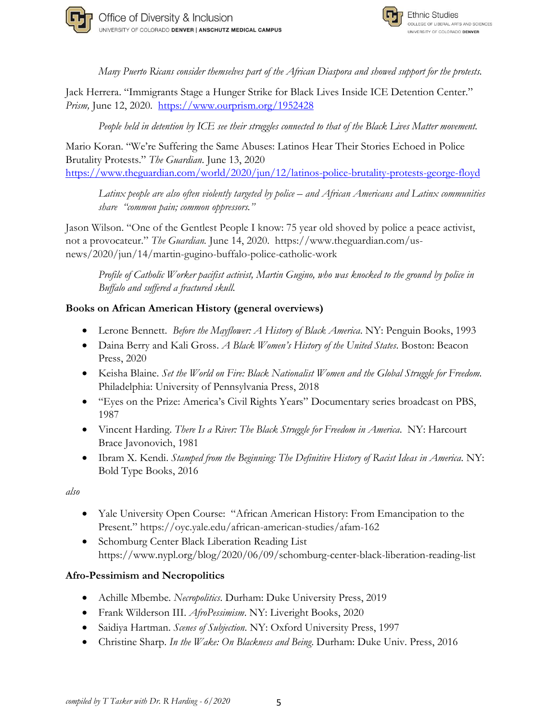



*Many Puerto Ricans consider themselves part of the African Diaspora and showed support for the protests.*

Jack Herrera. "Immigrants Stage a Hunger Strike for Black Lives Inside ICE Detention Center." Prism, June 12, 2020. <https://www.ourprism.org/1952428>

*People held in detention by ICE see their struggles connected to that of the Black Lives Matter movement.*

Mario Koran. "We're Suffering the Same Abuses: Latinos Hear Their Stories Echoed in Police Brutality Protests." *The Guardian*. June 13, 2020 <https://www.theguardian.com/world/2020/jun/12/latinos-police-brutality-protests-george-floyd>

*Latinx people are also often violently targeted by police – and African Americans and Latinx communities share "common pain; common oppressors."*

Jason Wilson. "One of the Gentlest People I know: 75 year old shoved by police a peace activist, not a provocateur." *The Guardian.* June 14, 2020. [https://www.theguardian.com/us](https://www.theguardian.com/us-news/2020/jun/14/martin-gugino-buffalo-police-catholic-worker)[news/2020/jun/14/martin-gugino-buffalo-police-catholic-work](https://www.theguardian.com/us-news/2020/jun/14/martin-gugino-buffalo-police-catholic-worker)

*Profile of Catholic Worker pacifist activist, Martin Gugino, who was knocked to the ground by police in Buffalo and suffered a fractured skull.*

## **Books on African American History (general overviews)**

- Lerone Bennett. *Before the Mayflower: A History of Black America*. NY: Penguin Books, 1993
- Daina Berry and Kali Gross. *A Black Women's History of the United States*. Boston: Beacon Press, 2020
- Keisha Blaine. *Set the World on Fire: Black Nationalist Women and the Global Struggle for Freedom.* Philadelphia: University of Pennsylvania Press, 2018
- "Eyes on the Prize: America's Civil Rights Years" Documentary series broadcast on PBS, 1987
- Vincent Harding. *There Is a River: The Black Struggle for Freedom in America*. NY: Harcourt Brace Javonovich, 1981
- Ibram X. Kendi. *Stamped from the Beginning: The Definitive History of Racist Ideas in America.* NY: Bold Type Books, 2016

*also*

- Yale University Open Course: "African American History: From Emancipation to the Present." <https://oyc.yale.edu/african-american-studies/afam-162>
- Schomburg Center Black Liberation Reading List https://www.nypl.org/blog/2020/06/09/schomburg-center-black-liberation-reading-list

# **Afro-Pessimism and Necropolitics**

- Achille Mbembe. *Necropolitics*. Durham: Duke University Press, 2019
- Frank Wilderson III. *AfroPessimism*. NY: Liveright Books, 2020
- Saidiya Hartman. *Scenes of Subjection*. NY: Oxford University Press, 1997
- Christine Sharp. *In the Wake: On Blackness and Being*. Durham: Duke Univ. Press, 2016